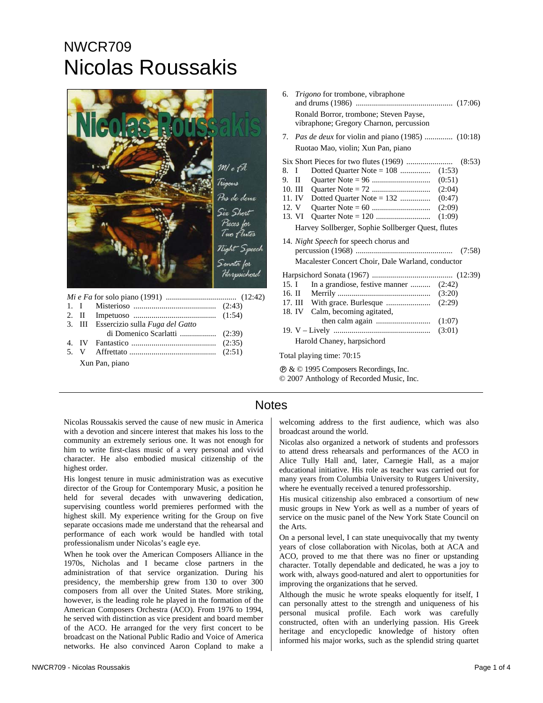## NWCR709 Nicolas Roussakis



*Mi e Fa* for solo piano (1991) ................................... (12:42)

|                | 3. III Essercizio sulla Fuga del Gatto |  |  |  |
|----------------|----------------------------------------|--|--|--|
|                |                                        |  |  |  |
|                |                                        |  |  |  |
|                |                                        |  |  |  |
| Xun Pan, piano |                                        |  |  |  |

| 6.      | <i>Trigono</i> for trombone, vibraphone                                           |        |
|---------|-----------------------------------------------------------------------------------|--------|
|         | Ronald Borror, trombone; Steven Payse,<br>vibraphone; Gregory Charnon, percussion |        |
|         | 7. <i>Pas de deux</i> for violin and piano (1985)  (10:18)                        |        |
|         | Ruotao Mao, violin; Xun Pan, piano                                                |        |
|         |                                                                                   |        |
| 8. I    | Dotted Ouarter Note $= 108$                                                       | (1:53) |
| $9.$ II |                                                                                   | (0:51) |
| 10. III |                                                                                   | (2:04) |
| 11. IV  | Dotted Quarter Note = $132$                                                       | (0:47) |
| 12. V   |                                                                                   | (2:09) |

13. VI Quarter Note = 120 ........................... (1:09) Harvey Sollberger, Sophie Sollberger Quest, flutes

14. *Night Speech* for speech chorus and percussion (1968) ................................................ (7:58) Macalester Concert Choir, Dale Warland, conductor Harpsichord Sonata (1967) ........................................ (12:39) 15. I In a grandiose, festive manner ............ (2:42) 16. II Merrily .............................................. (3:20) 17. III With grace. Burlesque ...................... (2:29) 18. IV Calm, becoming agitated, then calm again ........................... (1:07) 19. V – Lively ................................................ (3:01) Harold Chaney, harpsichord

Total playing time: 70:15

Ê & © 1995 Composers Recordings, Inc. © 2007 Anthology of Recorded Music, Inc.

## **Notes**

Nicolas Roussakis served the cause of new music in America with a devotion and sincere interest that makes his loss to the community an extremely serious one. It was not enough for him to write first-class music of a very personal and vivid character. He also embodied musical citizenship of the highest order.

His longest tenure in music administration was as executive director of the Group for Contemporary Music, a position he held for several decades with unwavering dedication, supervising countless world premieres performed with the highest skill. My experience writing for the Group on five separate occasions made me understand that the rehearsal and performance of each work would be handled with total professionalism under Nicolas's eagle eye.

When he took over the American Composers Alliance in the 1970s, Nicholas and I became close partners in the administration of that service organization. During his presidency, the membership grew from 130 to over 300 composers from all over the United States. More striking, however, is the leading role he played in the formation of the American Composers Orchestra (ACO). From 1976 to 1994, he served with distinction as vice president and board member of the ACO. He arranged for the very first concert to be broadcast on the National Public Radio and Voice of America networks. He also convinced Aaron Copland to make a

welcoming address to the first audience, which was also broadcast around the world.

Nicolas also organized a network of students and professors to attend dress rehearsals and performances of the ACO in Alice Tully Hall and, later, Carnegie Hall, as a major educational initiative. His role as teacher was carried out for many years from Columbia University to Rutgers University, where he eventually received a tenured professorship.

His musical citizenship also embraced a consortium of new music groups in New York as well as a number of years of service on the music panel of the New York State Council on the Arts.

On a personal level, I can state unequivocally that my twenty years of close collaboration with Nicolas, both at ACA and ACO, proved to me that there was no finer or upstanding character. Totally dependable and dedicated, he was a joy to work with, always good-natured and alert to opportunities for improving the organizations that he served.

Although the music he wrote speaks eloquently for itself, I can personally attest to the strength and uniqueness of his personal musical profile. Each work was carefully constructed, often with an underlying passion. His Greek heritage and encyclopedic knowledge of history often informed his major works, such as the splendid string quartet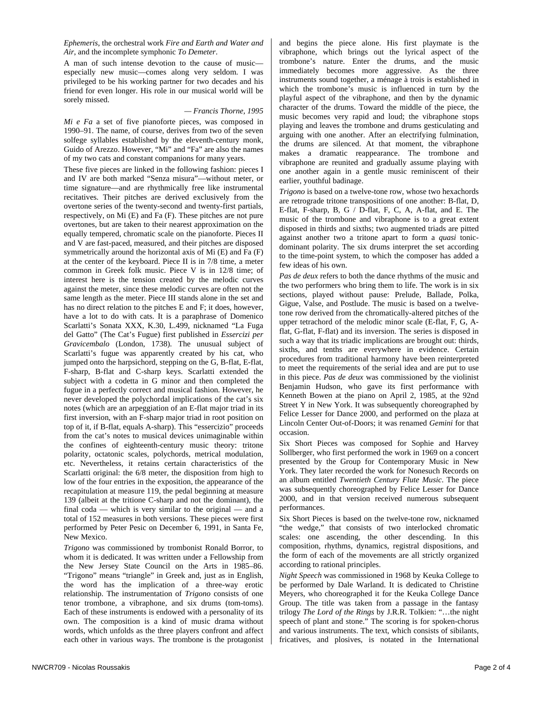*Ephemeris*, the orchestral work *Fire and Earth and Water and Air*, and the incomplete symphonic *To Demeter*.

A man of such intense devotion to the cause of music especially new music—comes along very seldom. I was privileged to be his working partner for two decades and his friend for even longer. His role in our musical world will be sorely missed.

## *— Francis Thorne, 1995*

*Mi e Fa* a set of five pianoforte pieces, was composed in 1990–91. The name, of course, derives from two of the seven solfege syllables established by the eleventh-century monk, Guido of Arezzo. However, "Mi" and "Fa" are also the names of my two cats and constant companions for many years.

These five pieces are linked in the following fashion: pieces I and IV are both marked "Senza misura"—without meter, or time signature—and are rhythmically free like instrumental recitatives. Their pitches are derived exclusively from the overtone series of the twenty-second and twenty-first partials, respectively, on Mi (E) and Fa (F). These pitches are not pure overtones, but are taken to their nearest approximation on the equally tempered, chromatic scale on the pianoforte. Pieces II and V are fast-paced, measured, and their pitches are disposed symmetrically around the horizontal axis of Mi (E) and Fa (F) at the center of the keyboard. Piece II is in 7/8 time, a meter common in Greek folk music. Piece V is in 12/8 time; of interest here is the tension created by the melodic curves against the meter, since these melodic curves are often not the same length as the meter. Piece III stands alone in the set and has no direct relation to the pitches E and F; it does, however, have a lot to do with cats. It is a paraphrase of Domenico Scarlatti's Sonata XXX, K.30, L.499, nicknamed "La Fuga del Gatto" (The Cat's Fugue) first published in *Essercizi per Gravicembalo* (London, 1738). The unusual subject of Scarlatti's fugue was apparently created by his cat, who jumped onto the harpsichord, stepping on the G, B-flat, E-flat, F-sharp, B-flat and C-sharp keys. Scarlatti extended the subject with a codetta in G minor and then completed the fugue in a perfectly correct and musical fashion. However, he never developed the polychordal implications of the cat's six notes (which are an arpeggiation of an E-flat major triad in its first inversion, with an F-sharp major triad in root position on top of it, if B-flat, equals A-sharp). This "essercizio" proceeds from the cat's notes to musical devices unimaginable within the confines of eighteenth-century music theory: tritone polarity, octatonic scales, polychords, metrical modulation, etc. Nevertheless, it retains certain characteristics of the Scarlatti original: the 6/8 meter, the disposition from high to low of the four entries in the exposition, the appearance of the recapitulation at measure 119, the pedal beginning at measure 139 (albeit at the tritione C-sharp and not the dominant), the final coda — which is very similar to the original — and a total of 152 measures in both versions. These pieces were first performed by Peter Pesic on December 6, 1991, in Santa Fe, New Mexico.

*Trigono* was commissioned by trombonist Ronald Borror, to whom it is dedicated. It was written under a Fellowship from the New Jersey State Council on the Arts in 1985–86. "Trigono" means "triangle" in Greek and, just as in English, the word has the implication of a three-way erotic relationship. The instrumentation of *Trigono* consists of one tenor trombone, a vibraphone, and six drums (tom-toms). Each of these instruments is endowed with a personality of its own. The composition is a kind of music drama without words, which unfolds as the three players confront and affect each other in various ways. The trombone is the protagonist and begins the piece alone. His first playmate is the vibraphone, which brings out the lyrical aspect of the trombone's nature. Enter the drums, and the music immediately becomes more aggressive. As the three instruments sound together, a ménage à trois is established in which the trombone's music is influenced in turn by the playful aspect of the vibraphone, and then by the dynamic character of the drums. Toward the middle of the piece, the music becomes very rapid and loud; the vibraphone stops playing and leaves the trombone and drums gesticulating and arguing with one another. After an electrifying fulmination, the drums are silenced. At that moment, the vibraphone makes a dramatic reappearance. The trombone and vibraphone are reunited and gradually assume playing with one another again in a gentle music reminiscent of their earlier, youthful badinage.

*Trigono* is based on a twelve-tone row, whose two hexachords are retrograde tritone transpositions of one another: B-flat, D, E-flat, F-sharp, B, G / D-flat, F, C, A, A-flat, and E. The music of the trombone and vibraphone is to a great extent disposed in thirds and sixths; two augmented triads are pitted against another two a tritone apart to form a *quasi* tonicdominant polarity. The six drums interpret the set according to the time-point system, to which the composer has added a few ideas of his own.

*Pas de deux* refers to both the dance rhythms of the music and the two performers who bring them to life. The work is in six sections, played without pause: Prelude, Ballade, Polka, Gigue, Valse, and Postlude. The music is based on a twelvetone row derived from the chromatically-altered pitches of the upper tetrachord of the melodic minor scale (E-flat, F, G, Aflat, G-flat, F-flat) and its inversion. The series is disposed in such a way that its triadic implications are brought out: thirds, sixths, and tenths are everywhere in evidence. Certain procedures from traditional harmony have been reinterpreted to meet the requirements of the serial idea and are put to use in this piece. *Pas de deux* was commissioned by the violinist Benjamin Hudson, who gave its first performance with Kenneth Bowen at the piano on April 2, 1985, at the 92nd Street Y in New York. It was subsequently choreographed by Felice Lesser for Dance 2000, and performed on the plaza at Lincoln Center Out-of-Doors; it was renamed *Gemini* for that occasion.

Six Short Pieces was composed for Sophie and Harvey Sollberger, who first performed the work in 1969 on a concert presented by the Group for Contemporary Music in New York. They later recorded the work for Nonesuch Records on an album entitled *Twentieth Century Flute Music*. The piece was subsequently choreographed by Felice Lesser for Dance 2000, and in that version received numerous subsequent performances.

Six Short Pieces is based on the twelve-tone row, nicknamed "the wedge," that consists of two interlocked chromatic scales: one ascending, the other descending. In this composition, rhythms, dynamics, registral dispositions, and the form of each of the movements are all strictly organized according to rational principles.

*Night Speech* was commissioned in 1968 by Keuka College to be performed by Dale Warland. It is dedicated to Christine Meyers, who choreographed it for the Keuka College Dance Group. The title was taken from a passage in the fantasy trilogy *The Lord of the Rings* by J.R.R. Tolkien: "…the night speech of plant and stone." The scoring is for spoken-chorus and various instruments. The text, which consists of sibilants, fricatives, and plosives, is notated in the International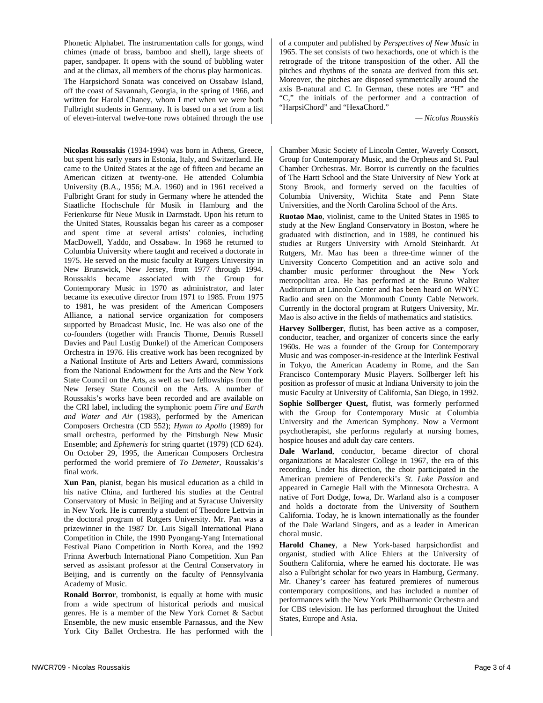Phonetic Alphabet. The instrumentation calls for gongs, wind chimes (made of brass, bamboo and shell), large sheets of paper, sandpaper. It opens with the sound of bubbling water and at the climax, all members of the chorus play harmonicas. The Harpsichord Sonata was conceived on Ossabaw Island, off the coast of Savannah, Georgia, in the spring of 1966, and written for Harold Chaney, whom I met when we were both Fulbright students in Germany. It is based on a set from a list of eleven-interval twelve-tone rows obtained through the use

**Nicolas Roussakis** (1934-1994) was born in Athens, Greece, but spent his early years in Estonia, Italy, and Switzerland. He came to the United States at the age of fifteen and became an American citizen at twenty-one. He attended Columbia University (B.A., 1956; M.A. 1960) and in 1961 received a Fulbright Grant for study in Germany where he attended the Staatliche Hochschule für Musik in Hamburg and the Ferienkurse für Neue Musik in Darmstadt. Upon his return to the United States, Roussakis began his career as a composer and spent time at several artists' colonies, including MacDowell, Yaddo, and Ossabaw. In 1968 he returned to Columbia University where taught and received a doctorate in 1975. He served on the music faculty at Rutgers University in New Brunswick, New Jersey, from 1977 through 1994. Roussakis became associated with the Group for Contemporary Music in 1970 as administrator, and later became its executive director from 1971 to 1985. From 1975 to 1981, he was president of the American Composers Alliance, a national service organization for composers supported by Broadcast Music, Inc. He was also one of the co-founders (together with Francis Thorne, Dennis Russell Davies and Paul Lustig Dunkel) of the American Composers Orchestra in 1976. His creative work has been recognized by a National Institute of Arts and Letters Award, commissions from the National Endowment for the Arts and the New York State Council on the Arts, as well as two fellowships from the New Jersey State Council on the Arts. A number of Roussakis's works have been recorded and are available on the CRI label, including the symphonic poem *Fire and Earth and Water and Air* (1983), performed by the American Composers Orchestra (CD 552); *Hymn to Apollo* (1989) for small orchestra, performed by the Pittsburgh New Music Ensemble; and *Ephemeris* for string quartet (1979) (CD 624). On October 29, 1995, the American Composers Orchestra performed the world premiere of *To Demeter*, Roussakis's final work.

**Xun Pan**, pianist, began his musical education as a child in his native China, and furthered his studies at the Central Conservatory of Music in Beijing and at Syracuse University in New York. He is currently a student of Theodore Lettvin in the doctoral program of Rutgers University. Mr. Pan was a prizewinner in the 1987 Dr. Luis Sigall International Piano Competition in Chile, the 1990 Pyongang-Yang International Festival Piano Competition in North Korea, and the 1992 Frinna Awerbuch International Piano Competition. Xun Pan served as assistant professor at the Central Conservatory in Beijing, and is currently on the faculty of Pennsylvania Academy of Music.

**Ronald Borror**, trombonist, is equally at home with music from a wide spectrum of historical periods and musical genres. He is a member of the New York Cornet & Sacbut Ensemble, the new music ensemble Parnassus, and the New York City Ballet Orchestra. He has performed with the of a computer and published by *Perspectives of New Music* in 1965. The set consists of two hexachords, one of which is the retrograde of the tritone transposition of the other. All the pitches and rhythms of the sonata are derived from this set. Moreover, the pitches are disposed symmetrically around the axis B-natural and C. In German, these notes are "H" and "C," the initials of the performer and a contraction of "HarpsiChord" and "HexaChord."

*— Nicolas Rousskis* 

Chamber Music Society of Lincoln Center, Waverly Consort, Group for Contemporary Music, and the Orpheus and St. Paul Chamber Orchestras. Mr. Borror is currently on the faculties of The Hartt School and the State University of New York at Stony Brook, and formerly served on the faculties of Columbia University, Wichita State and Penn State Universities, and the North Carolina School of the Arts.

**Ruotao Mao**, violinist, came to the United States in 1985 to study at the New England Conservatory in Boston, where he graduated with distinction, and in 1989, he continued his studies at Rutgers University with Arnold Steinhardt. At Rutgers, Mr. Mao has been a three-time winner of the University Concerto Competition and an active solo and chamber music performer throughout the New York metropolitan area. He has performed at the Bruno Walter Auditorium at Lincoln Center and has been heard on WNYC Radio and seen on the Monmouth County Cable Network. Currently in the doctoral program at Rutgers University, Mr. Mao is also active in the fields of mathematics and statistics.

**Harvey Sollberger**, flutist, has been active as a composer, conductor, teacher, and organizer of concerts since the early 1960s. He was a founder of the Group for Contemporary Music and was composer-in-residence at the Interlink Festival in Tokyo, the American Academy in Rome, and the San Francisco Contemporary Music Players. Sollberger left his position as professor of music at Indiana University to join the music Faculty at University of California, San Diego, in 1992.

**Sophie Sollberger Quest,** flutist, was formerly performed with the Group for Contemporary Music at Columbia University and the American Symphony. Now a Vermont psychotherapist, she performs regularly at nursing homes, hospice houses and adult day care centers.

**Dale Warland**, conductor, became director of choral organizations at Macalester College in 1967, the era of this recording. Under his direction, the choir participated in the American premiere of Penderecki's *St. Luke Passion* and appeared in Carnegie Hall with the Minnesota Orchestra. A native of Fort Dodge, Iowa, Dr. Warland also is a composer and holds a doctorate from the University of Southern California. Today, he is known internationally as the founder of the Dale Warland Singers, and as a leader in American choral music.

**Harold Chaney**, a New York-based harpsichordist and organist, studied with Alice Ehlers at the University of Southern California, where he earned his doctorate. He was also a Fulbright scholar for two years in Hamburg, Germany. Mr. Chaney's career has featured premieres of numerous contemporary compositions, and has included a number of performances with the New York Philharmonic Orchestra and for CBS television. He has performed throughout the United States, Europe and Asia.